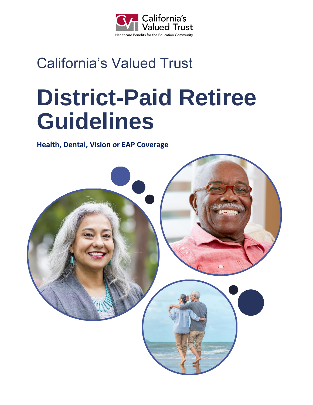

## California's Valued Trust

# **District-Paid Retiree Guidelines**

**Health, Dental, Vision or EAP Coverage**

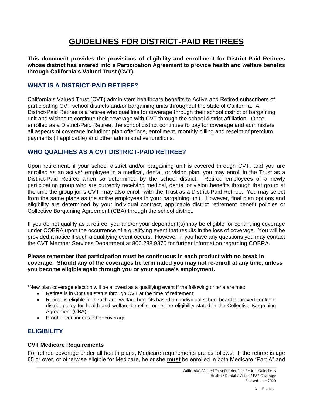### **GUIDELINES FOR DISTRICT-PAID RETIREES**

**This document provides the provisions of eligibility and enrollment for District-Paid Retirees whose district has entered into a Participation Agreement to provide health and welfare benefits through California's Valued Trust (CVT).** 

#### **WHAT IS A DISTRICT-PAID RETIREE?**

California's Valued Trust (CVT) administers healthcare benefits to Active and Retired subscribers of participating CVT school districts and/or bargaining units throughout the state of California. A District-Paid Retiree is a retiree who qualifies for coverage through their school district or bargaining unit and wishes to continue their coverage with CVT through the school district affiliation. Once enrolled as a District-Paid Retiree, the school district continues to pay for coverage and administers all aspects of coverage including: plan offerings, enrollment, monthly billing and receipt of premium payments (if applicable) and other administrative functions.

#### **WHO QUALIFIES AS A CVT DISTRICT-PAID RETIREE?**

Upon retirement, if your school district and/or bargaining unit is covered through CVT, and you are enrolled as an active\* employee in a medical, dental, or vision plan, you may enroll in the Trust as a District-Paid Retiree when so determined by the school district. Retired employees of a newly participating group who are currently receiving medical, dental or vision benefits through that group at the time the group joins CVT, may also enroll with the Trust as a District-Paid Retiree. You may select from the same plans as the active employees in your bargaining unit. However, final plan options and eligibility are determined by your individual contract, applicable district retirement benefit policies or Collective Bargaining Agreement (CBA) through the school district.

If you do not qualify as a retiree, you and/or your dependent(s) may be eligible for continuing coverage under COBRA upon the occurrence of a qualifying event that results in the loss of coverage. You will be provided a notice if such a qualifying event occurs. However, if you have any questions you may contact the CVT Member Services Department at 800.288.9870 for further information regarding COBRA.

#### **Please remember that participation must be continuous in each product with no break in coverage. Should any of the coverages be terminated you may not re-enroll at any time, unless you become eligible again through you or your spouse's employment.**

\*New plan coverage election will be allowed as a qualifying event if the following criteria are met:

- Retiree is in Opt Out status through CVT at the time of retirement;
- Retiree is eligible for health and welfare benefits based on; individual school board approved contract, district policy for health and welfare benefits, or retiree eligibility stated in the Collective Bargaining Agreement (CBA);
- Proof of continuous other coverage

#### **ELIGIBILITY**

#### **CVT Medicare Requirements**

For retiree coverage under all health plans, Medicare requirements are as follows: If the retiree is age 65 or over, or otherwise eligible for Medicare, he or she **must** be enrolled in both Medicare "Part A" and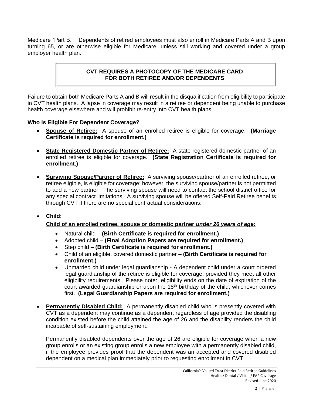Medicare "Part B." Dependents of retired employees must also enroll in Medicare Parts A and B upon turning 65, or are otherwise eligible for Medicare, unless still working and covered under a group employer health plan.

#### **CVT REQUIRES A PHOTOCOPY OF THE MEDICARE CARD FOR BOTH RETIREE AND/OR DEPENDENTS**

Failure to obtain both Medicare Parts A and B will result in the disqualification from eligibility to participate in CVT health plans. A lapse in coverage may result in a retiree or dependent being unable to purchase health coverage elsewhere and will prohibit re-entry into CVT health plans.

#### **Who Is Eligible For Dependent Coverage?**

- **Spouse of Retiree:** A spouse of an enrolled retiree is eligible for coverage. **(Marriage Certificate is required for enrollment.)**
- **State Registered Domestic Partner of Retiree:** A state registered domestic partner of an enrolled retiree is eligible for coverage. **(State Registration Certificate is required for enrollment.)**
- **Surviving Spouse/Partner of Retiree:** A surviving spouse/partner of an enrolled retiree, or retiree eligible, is eligible for coverage; however, the surviving spouse/partner is not permitted to add a new partner. The surviving spouse will need to contact the school district office for any special contract limitations. A surviving spouse will be offered Self-Paid Retiree benefits through CVT if there are no special contractual considerations.

#### • **Child:**

#### **Child of an enrolled retiree, spouse or domestic partner** *under 26 years of age:*

- Natural child **(Birth Certificate is required for enrollment.)**
- Adopted child **(Final Adoption Papers are required for enrollment.)**
- Step child **(Birth Certificate is required for enrollment.)**
- Child of an eligible, covered domestic partner **(Birth Certificate is required for enrollment.)**
- Unmarried child under legal guardianship A dependent child under a court ordered legal guardianship of the retiree is eligible for coverage, provided they meet all other eligibility requirements. Please note: eligibility ends on the date of expiration of the court awarded guardianship or upon the  $18<sup>th</sup>$  birthday of the child, whichever comes first. **(Legal Guardianship Papers are required for enrollment.)**
- **Permanently Disabled Child:** A permanently disabled child who is presently covered with CVT as a dependent may continue as a dependent regardless of age provided the disabling condition existed before the child attained the age of 26 and the disability renders the child incapable of self-sustaining employment.

Permanently disabled dependents over the age of 26 are eligible for coverage when a new group enrolls or an existing group enrolls a new employee with a permanently disabled child, if the employee provides proof that the dependent was an accepted and covered disabled dependent on a medical plan immediately prior to requesting enrollment in CVT.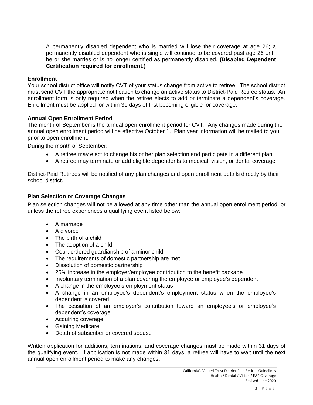A permanently disabled dependent who is married will lose their coverage at age 26; a permanently disabled dependent who is single will continue to be covered past age 26 until he or she marries or is no longer certified as permanently disabled. **(Disabled Dependent Certification required for enrollment.)**

#### **Enrollment**

Your school district office will notify CVT of your status change from active to retiree. The school district must send CVT the appropriate notification to change an active status to District-Paid Retiree status. An enrollment form is only required when the retiree elects to add or terminate a dependent's coverage. Enrollment must be applied for within 31 days of first becoming eligible for coverage.

#### **Annual Open Enrollment Period**

The month of September is the annual open enrollment period for CVT. Any changes made during the annual open enrollment period will be effective October 1. Plan year information will be mailed to you prior to open enrollment.

During the month of September:

- A retiree may elect to change his or her plan selection and participate in a different plan
- A retiree may terminate or add eligible dependents to medical, vision, or dental coverage

District-Paid Retirees will be notified of any plan changes and open enrollment details directly by their school district.

#### **Plan Selection or Coverage Changes**

Plan selection changes will not be allowed at any time other than the annual open enrollment period, or unless the retiree experiences a qualifying event listed below:

- A marriage
- A divorce
- The birth of a child
- The adoption of a child
- Court ordered guardianship of a minor child
- The requirements of domestic partnership are met
- Dissolution of domestic partnership
- 25% increase in the employer/employee contribution to the benefit package
- Involuntary termination of a plan covering the employee or employee's dependent
- A change in the employee's employment status
- A change in an employee's dependent's employment status when the employee's dependent is covered
- The cessation of an employer's contribution toward an employee's or employee's dependent's coverage
- Acquiring coverage
- Gaining Medicare
- Death of subscriber or covered spouse

Written application for additions, terminations, and coverage changes must be made within 31 days of the qualifying event. If application is not made within 31 days, a retiree will have to wait until the next annual open enrollment period to make any changes.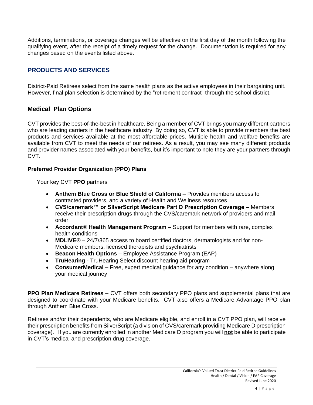Additions, terminations, or coverage changes will be effective on the first day of the month following the qualifying event, after the receipt of a timely request for the change. Documentation is required for any changes based on the events listed above.

#### **PRODUCTS AND SERVICES**

District-Paid Retirees select from the same health plans as the active employees in their bargaining unit. However, final plan selection is determined by the "retirement contract" through the school district.

#### **Medical Plan Options**

CVT provides the best-of-the-best in healthcare. Being a member of CVT brings you many different partners who are leading carriers in the healthcare industry. By doing so, CVT is able to provide members the best products and services available at the most affordable prices. Multiple health and welfare benefits are available from CVT to meet the needs of our retirees. As a result, you may see many different products and provider names associated with your benefits, but it's important to note they are your partners through CVT.

#### **Preferred Provider Organization (PPO) Plans**

Your key CVT **PPO** partners

- **Anthem Blue Cross or Blue Shield of California** Provides members access to contracted providers, and a variety of Health and Wellness resources
- **CVS/caremark™ or SilverScript Medicare Part D Prescription Coverage** Members receive their prescription drugs through the CVS/caremark network of providers and mail order
- **Accordant® Health Management Program** Support for members with rare, complex health conditions
- **MDLIVE***®* 24/7/365 access to board certified doctors, dermatologists and for non-Medicare members, licensed therapists and psychiatrists
- **Beacon Health Options** Employee Assistance Program (EAP)
- **TruHearing** TruHearing Select discount hearing aid program
- **ConsumerMedical –** Free, expert medical guidance for any condition anywhere along your medical journey

**PPO Plan Medicare Retirees** *–* CVT offers both secondary PPO plans and supplemental plans that are designed to coordinate with your Medicare benefits. CVT also offers a Medicare Advantage PPO plan through Anthem Blue Cross.

Retirees and/or their dependents, who are Medicare eligible, and enroll in a CVT PPO plan, will receive their prescription benefits from SilverScript (a division of CVS/caremark providing Medicare D prescription coverage). If you are currently enrolled in another Medicare D program you will **not** be able to participate in CVT's medical and prescription drug coverage.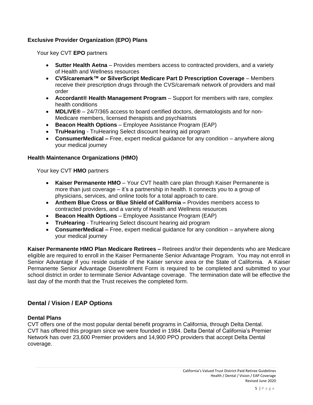#### **Exclusive Provider Organization (EPO) Plans**

Your key CVT **EPO** partners

- **Sutter Health Aetna** Provides members access to contracted providers, and a variety of Health and Wellness resources
- **CVS/caremark™ or SilverScript Medicare Part D Prescription Coverage** Members receive their prescription drugs through the CVS/caremark network of providers and mail order
- **Accordant® Health Management Program** Support for members with rare, complex health conditions
- **MDLIVE***®* 24/7/365 access to board certified doctors, dermatologists and for non-Medicare members, licensed therapists and psychiatrists
- **Beacon Health Options** Employee Assistance Program (EAP)
- **TruHearing** TruHearing Select discount hearing aid program
- **ConsumerMedical –** Free, expert medical guidance for any condition anywhere along your medical journey

#### **Health Maintenance Organizations (HMO)**

Your key CVT **HMO** partners

- **Kaiser Permanente HMO** Your CVT health care plan through Kaiser Permanente is more than just coverage – it's a partnership in health. It connects you to a group of physicians, services, and online tools for a total approach to care.
- **Anthem Blue Cross or Blue Shield of California –** Provides members access to contracted providers, and a variety of Health and Wellness resources
- **Beacon Health Options** Employee Assistance Program (EAP)
- **TruHearing** TruHearing Select discount hearing aid program
- **ConsumerMedical –** Free, expert medical guidance for any condition anywhere along your medical journey

**Kaiser Permanente HMO Plan Medicare Retirees** *–* Retirees and/or their dependents who are Medicare eligible are required to enroll in the Kaiser Permanente Senior Advantage Program. You may not enroll in Senior Advantage if you reside outside of the Kaiser service area or the State of California. A Kaiser Permanente Senior Advantage Disenrollment Form is required to be completed and submitted to your school district in order to terminate Senior Advantage coverage. The termination date will be effective the last day of the month that the Trust receives the completed form.

#### **Dental / Vision / EAP Options**

#### **Dental Plans**

CVT offers one of the most popular dental benefit programs in California, through Delta Dental. CVT has offered this program since we were founded in 1984. Delta Dental of California's Premier Network has over 23,600 Premier providers and 14,900 PPO providers that accept Delta Dental coverage.